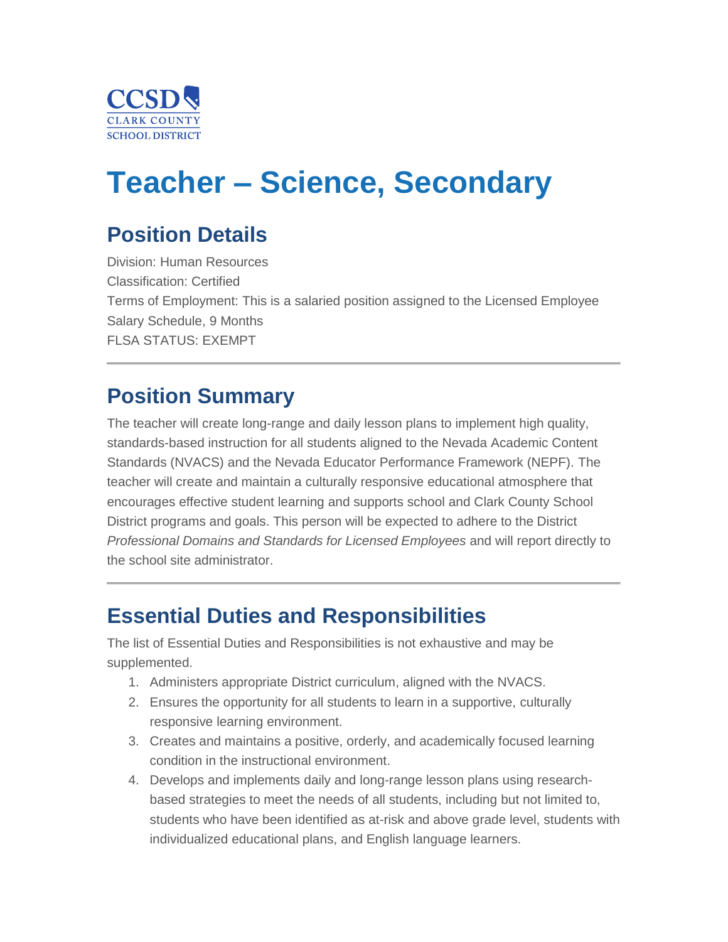

# **Teacher – Science, Secondary**

# **Position Details**

Division: Human Resources Classification: Certified Terms of Employment: This is a salaried position assigned to the Licensed Employee Salary Schedule, 9 Months FLSA STATUS: EXEMPT

# **Position Summary**

The teacher will create long-range and daily lesson plans to implement high quality, standards-based instruction for all students aligned to the Nevada Academic Content Standards (NVACS) and the Nevada Educator Performance Framework (NEPF). The teacher will create and maintain a culturally responsive educational atmosphere that encourages effective student learning and supports school and Clark County School District programs and goals. This person will be expected to adhere to the District *Professional Domains and Standards for Licensed Employees* and will report directly to the school site administrator.

### **Essential Duties and Responsibilities**

The list of Essential Duties and Responsibilities is not exhaustive and may be supplemented.

- 1. Administers appropriate District curriculum, aligned with the NVACS.
- 2. Ensures the opportunity for all students to learn in a supportive, culturally responsive learning environment.
- 3. Creates and maintains a positive, orderly, and academically focused learning condition in the instructional environment.
- 4. Develops and implements daily and long-range lesson plans using researchbased strategies to meet the needs of all students, including but not limited to, students who have been identified as at-risk and above grade level, students with individualized educational plans, and English language learners.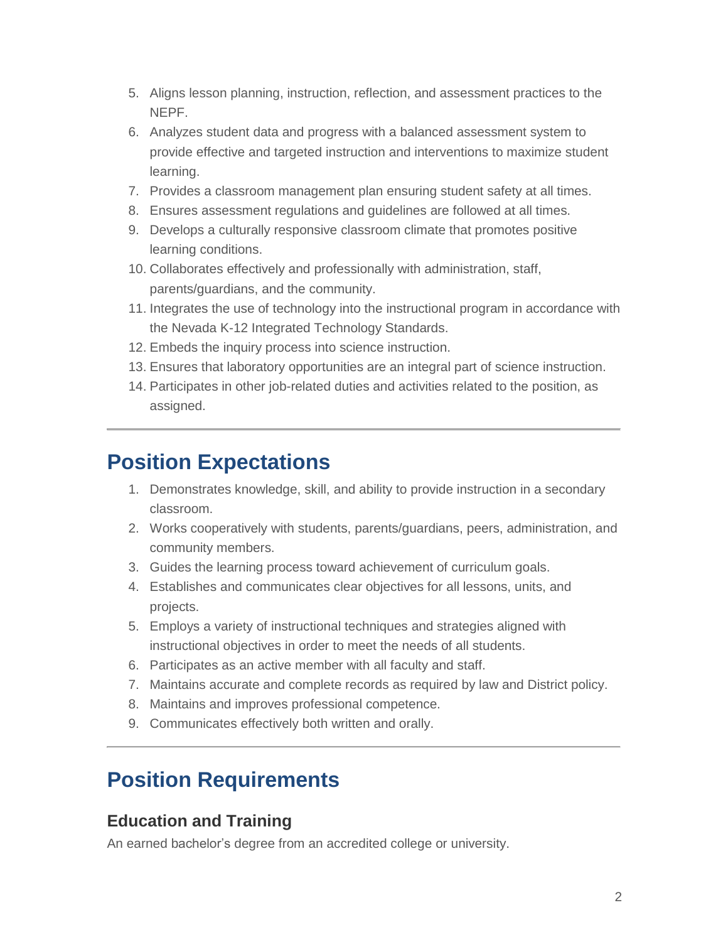- 5. Aligns lesson planning, instruction, reflection, and assessment practices to the NEPF.
- 6. Analyzes student data and progress with a balanced assessment system to provide effective and targeted instruction and interventions to maximize student learning.
- 7. Provides a classroom management plan ensuring student safety at all times.
- 8. Ensures assessment regulations and guidelines are followed at all times.
- 9. Develops a culturally responsive classroom climate that promotes positive learning conditions.
- 10. Collaborates effectively and professionally with administration, staff, parents/guardians, and the community.
- 11. Integrates the use of technology into the instructional program in accordance with the Nevada K-12 Integrated Technology Standards.
- 12. Embeds the inquiry process into science instruction.
- 13. Ensures that laboratory opportunities are an integral part of science instruction.
- 14. Participates in other job-related duties and activities related to the position, as assigned.

### **Position Expectations**

- 1. Demonstrates knowledge, skill, and ability to provide instruction in a secondary classroom.
- 2. Works cooperatively with students, parents/guardians, peers, administration, and community members.
- 3. Guides the learning process toward achievement of curriculum goals.
- 4. Establishes and communicates clear objectives for all lessons, units, and projects.
- 5. Employs a variety of instructional techniques and strategies aligned with instructional objectives in order to meet the needs of all students.
- 6. Participates as an active member with all faculty and staff.
- 7. Maintains accurate and complete records as required by law and District policy.
- 8. Maintains and improves professional competence.
- 9. Communicates effectively both written and orally.

## **Position Requirements**

#### **Education and Training**

An earned bachelor's degree from an accredited college or university.